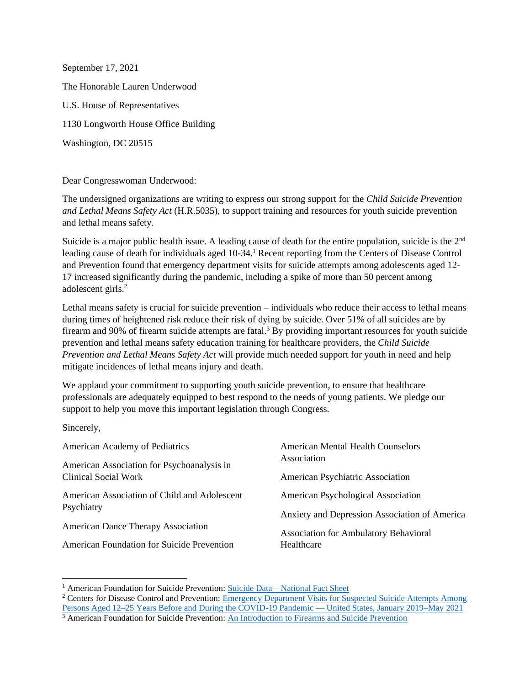September 17, 2021 The Honorable Lauren Underwood U.S. House of Representatives 1130 Longworth House Office Building Washington, DC 20515

Dear Congresswoman Underwood:

The undersigned organizations are writing to express our strong support for the *Child Suicide Prevention and Lethal Means Safety Act* (H.R.5035), to support training and resources for youth suicide prevention and lethal means safety.

Suicide is a major public health issue. A leading cause of death for the entire population, suicide is the 2nd leading cause of death for individuals aged 10-34.<sup>1</sup> Recent reporting from the Centers of Disease Control and Prevention found that emergency department visits for suicide attempts among adolescents aged 12- 17 increased significantly during the pandemic, including a spike of more than 50 percent among adolescent girls.<sup>2</sup>

Lethal means safety is crucial for suicide prevention – individuals who reduce their access to lethal means during times of heightened risk reduce their risk of dying by suicide. Over 51% of all suicides are by firearm and 90% of firearm suicide attempts are fatal.<sup>3</sup> By providing important resources for youth suicide prevention and lethal means safety education training for healthcare providers, the *Child Suicide Prevention and Lethal Means Safety Act* will provide much needed support for youth in need and help mitigate incidences of lethal means injury and death.

We applaud your commitment to supporting youth suicide prevention, to ensure that healthcare professionals are adequately equipped to best respond to the needs of young patients. We pledge our support to help you move this important legislation through Congress.

Sincerely,

| American Academy of Pediatrics               | <b>American Mental Health Counselors</b>      |
|----------------------------------------------|-----------------------------------------------|
| American Association for Psychoanalysis in   | Association                                   |
| <b>Clinical Social Work</b>                  | American Psychiatric Association              |
| American Association of Child and Adolescent | American Psychological Association            |
| Psychiatry                                   | Anxiety and Depression Association of America |
| <b>American Dance Therapy Association</b>    | <b>Association for Ambulatory Behavioral</b>  |
| American Foundation for Suicide Prevention   | Healthcare                                    |

<sup>&</sup>lt;sup>1</sup> American Foundation for Suicide Prevention: Suicide Data – [National Fact Sheet](https://www.datocms-assets.com/12810/1616589783-14155afspnationalfactsheet2021m1v2.pdf)

<sup>&</sup>lt;sup>2</sup> Centers for Disease Control and Prevention: Emergency Department Visits for Suspected Suicide Attempts Among [Persons Aged 12–25 Years Before and During the COVID-19 Pandemic —](https://www.cdc.gov/mmwr/volumes/70/wr/mm7024e1.htm?s_cid=mm7024e1_w) United States, January 2019–May 2021

<sup>&</sup>lt;sup>3</sup> American Foundation for Suicide Prevention: [An Introduction to Firearms and Suicide Prevention](https://afsp.org/an-introduction-to-firearms-and-suicide-prevention)